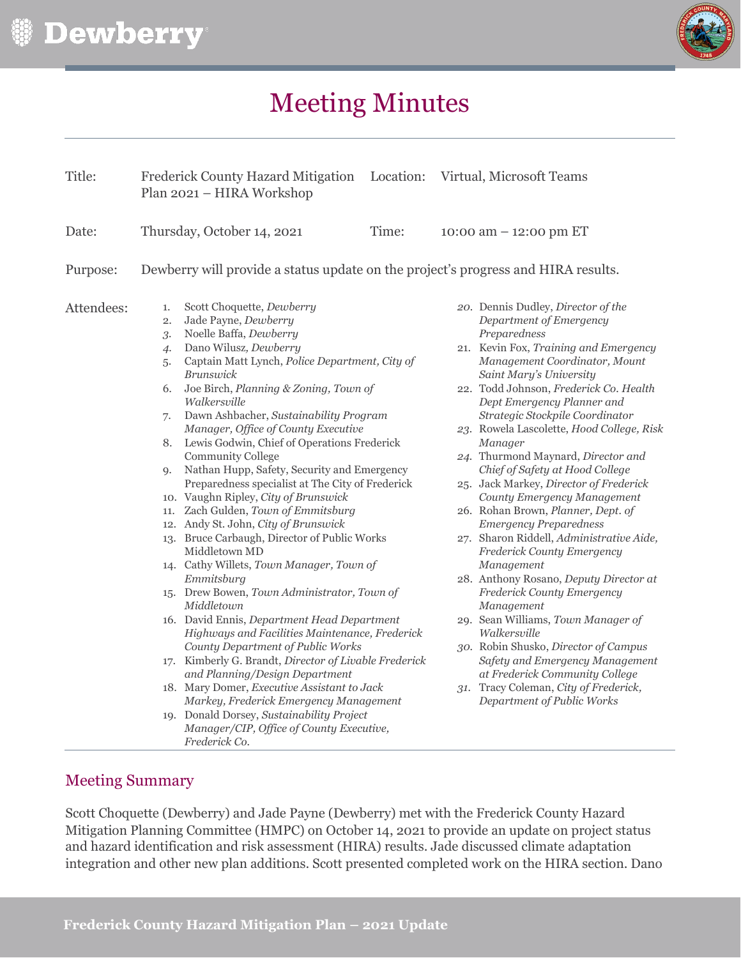



# Meeting Minutes

| Title:     |                                                                         | Frederick County Hazard Mitigation Location: Virtual, Microsoft Teams<br>Plan 2021 - HIRA Workshop                                                                                                                                                                                                                                                                                                                                                                                                                                                                                                                                                                                                                                                                                                                                                                                                                                                                                                                                                                                                                                                                                                                                                    |       |                          |                                                                                                                                                                                                                                                                                                                                                                                                                                                                                                                                                                                                                                                                                                                                                                                                                                                                                                                                                                                                        |  |
|------------|-------------------------------------------------------------------------|-------------------------------------------------------------------------------------------------------------------------------------------------------------------------------------------------------------------------------------------------------------------------------------------------------------------------------------------------------------------------------------------------------------------------------------------------------------------------------------------------------------------------------------------------------------------------------------------------------------------------------------------------------------------------------------------------------------------------------------------------------------------------------------------------------------------------------------------------------------------------------------------------------------------------------------------------------------------------------------------------------------------------------------------------------------------------------------------------------------------------------------------------------------------------------------------------------------------------------------------------------|-------|--------------------------|--------------------------------------------------------------------------------------------------------------------------------------------------------------------------------------------------------------------------------------------------------------------------------------------------------------------------------------------------------------------------------------------------------------------------------------------------------------------------------------------------------------------------------------------------------------------------------------------------------------------------------------------------------------------------------------------------------------------------------------------------------------------------------------------------------------------------------------------------------------------------------------------------------------------------------------------------------------------------------------------------------|--|
| Date:      | Thursday, October 14, 2021                                              |                                                                                                                                                                                                                                                                                                                                                                                                                                                                                                                                                                                                                                                                                                                                                                                                                                                                                                                                                                                                                                                                                                                                                                                                                                                       | Time: | 10:00 am $-$ 12:00 pm ET |                                                                                                                                                                                                                                                                                                                                                                                                                                                                                                                                                                                                                                                                                                                                                                                                                                                                                                                                                                                                        |  |
| Purpose:   |                                                                         | Dewberry will provide a status update on the project's progress and HIRA results.                                                                                                                                                                                                                                                                                                                                                                                                                                                                                                                                                                                                                                                                                                                                                                                                                                                                                                                                                                                                                                                                                                                                                                     |       |                          |                                                                                                                                                                                                                                                                                                                                                                                                                                                                                                                                                                                                                                                                                                                                                                                                                                                                                                                                                                                                        |  |
| Attendees: | 1.<br>2.<br>3.<br>$\overline{4}$<br>5.<br>6.<br>7.<br>8.<br>$Q_{\star}$ | Scott Choquette, Dewberry<br>Jade Payne, Dewberry<br>Noelle Baffa, Dewberry<br>Dano Wilusz, Dewberry<br>Captain Matt Lynch, Police Department, City of<br><b>Brunswick</b><br>Joe Birch, Planning & Zoning, Town of<br>Walkersville<br>Dawn Ashbacher, Sustainability Program<br>Manager, Office of County Executive<br>Lewis Godwin, Chief of Operations Frederick<br><b>Community College</b><br>Nathan Hupp, Safety, Security and Emergency<br>Preparedness specialist at The City of Frederick<br>10. Vaughn Ripley, City of Brunswick<br>11. Zach Gulden, Town of Emmitsburg<br>12. Andy St. John, City of Brunswick<br>13. Bruce Carbaugh, Director of Public Works<br>Middletown MD<br>14. Cathy Willets, Town Manager, Town of<br>Emmitsburg<br>15. Drew Bowen, Town Administrator, Town of<br>Middletown<br>16. David Ennis, Department Head Department<br>Highways and Facilities Maintenance, Frederick<br>County Department of Public Works<br>17. Kimberly G. Brandt, Director of Livable Frederick<br>and Planning/Design Department<br>18. Mary Domer, Executive Assistant to Jack<br>Markey, Frederick Emergency Management<br>19. Donald Dorsey, Sustainability Project<br>Manager/CIP, Office of County Executive,<br>Frederick Co. |       |                          | 20. Dennis Dudley, Director of the<br>Department of Emergency<br>Preparedness<br>21. Kevin Fox, Training and Emergency<br>Management Coordinator, Mount<br>Saint Mary's University<br>22. Todd Johnson, Frederick Co. Health<br>Dept Emergency Planner and<br>Strategic Stockpile Coordinator<br>23. Rowela Lascolette, Hood College, Risk<br>Manager<br>24. Thurmond Maynard, Director and<br>Chief of Safety at Hood College<br>25. Jack Markey, Director of Frederick<br>County Emergency Management<br>26. Rohan Brown, Planner, Dept. of<br><b>Emergency Preparedness</b><br>27. Sharon Riddell, Administrative Aide,<br>Frederick County Emergency<br>Management<br>28. Anthony Rosano, Deputy Director at<br>Frederick County Emergency<br>Management<br>29. Sean Williams, Town Manager of<br>Walkersville<br>30. Robin Shusko, Director of Campus<br>Safety and Emergency Management<br>at Frederick Community College<br>31. Tracy Coleman, City of Frederick,<br>Department of Public Works |  |

# Meeting Summary

Scott Choquette (Dewberry) and Jade Payne (Dewberry) met with the Frederick County Hazard Mitigation Planning Committee (HMPC) on October 14, 2021 to provide an update on project status and hazard identification and risk assessment (HIRA) results. Jade discussed climate adaptation integration and other new plan additions. Scott presented completed work on the HIRA section. Dano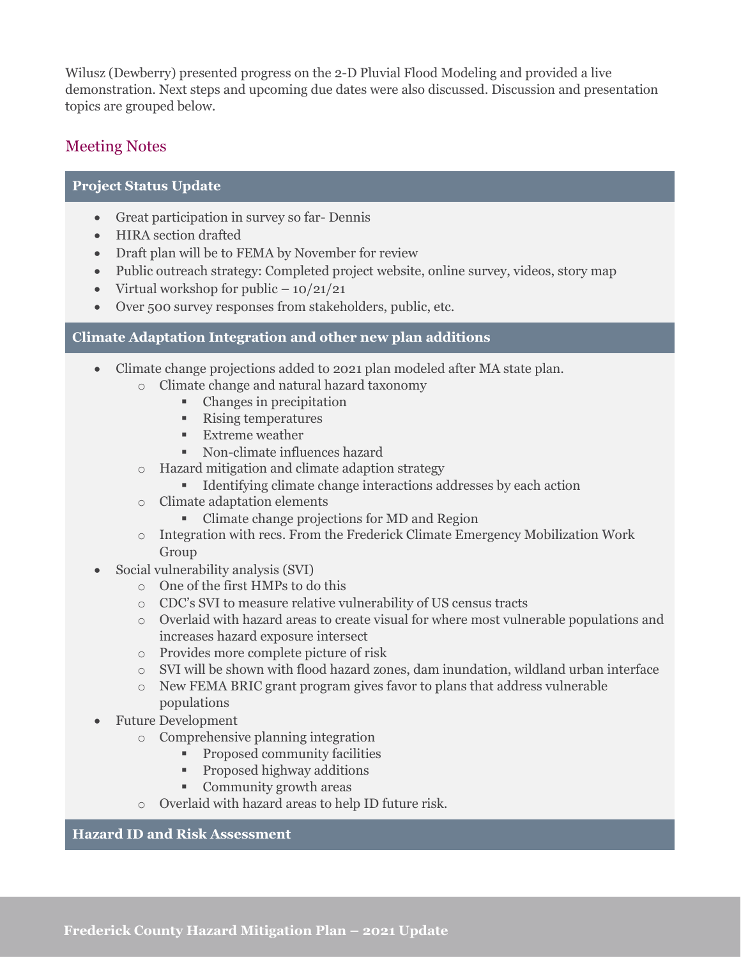Wilusz (Dewberry) presented progress on the 2-D Pluvial Flood Modeling and provided a live demonstration. Next steps and upcoming due dates were also discussed. Discussion and presentation topics are grouped below.

## Meeting Notes

## **Project Status Update**

- Great participation in survey so far- Dennis
- HIRA section drafted
- Draft plan will be to FEMA by November for review
- Public outreach strategy: Completed project website, online survey, videos, story map
- Virtual workshop for public  $-10/21/21$
- Over 500 survey responses from stakeholders, public, etc.

### **Climate Adaptation Integration and other new plan additions**

- Climate change projections added to 2021 plan modeled after MA state plan.
	- o Climate change and natural hazard taxonomy
		- Changes in precipitation
		- Rising temperatures
		- $\blacksquare$  Extreme weather
		- Non-climate influences hazard
	- o Hazard mitigation and climate adaption strategy
		- Identifying climate change interactions addresses by each action
	- o Climate adaptation elements
		- Climate change projections for MD and Region
	- $\circ$  Integration with recs. From the Frederick Climate Emergency Mobilization Work Group
- Social vulnerability analysis (SVI)
	- o One of the first HMPs to do this
	- o CDC's SVI to measure relative vulnerability of US census tracts
	- o Overlaid with hazard areas to create visual for where most vulnerable populations and increases hazard exposure intersect
	- o Provides more complete picture of risk
	- o SVI will be shown with flood hazard zones, dam inundation, wildland urban interface
	- o New FEMA BRIC grant program gives favor to plans that address vulnerable populations
- Future Development
	- o Comprehensive planning integration
		- **Proposed community facilities**
		- **Proposed highway additions**
		- Community growth areas
	- o Overlaid with hazard areas to help ID future risk.

#### **Hazard ID and Risk Assessment**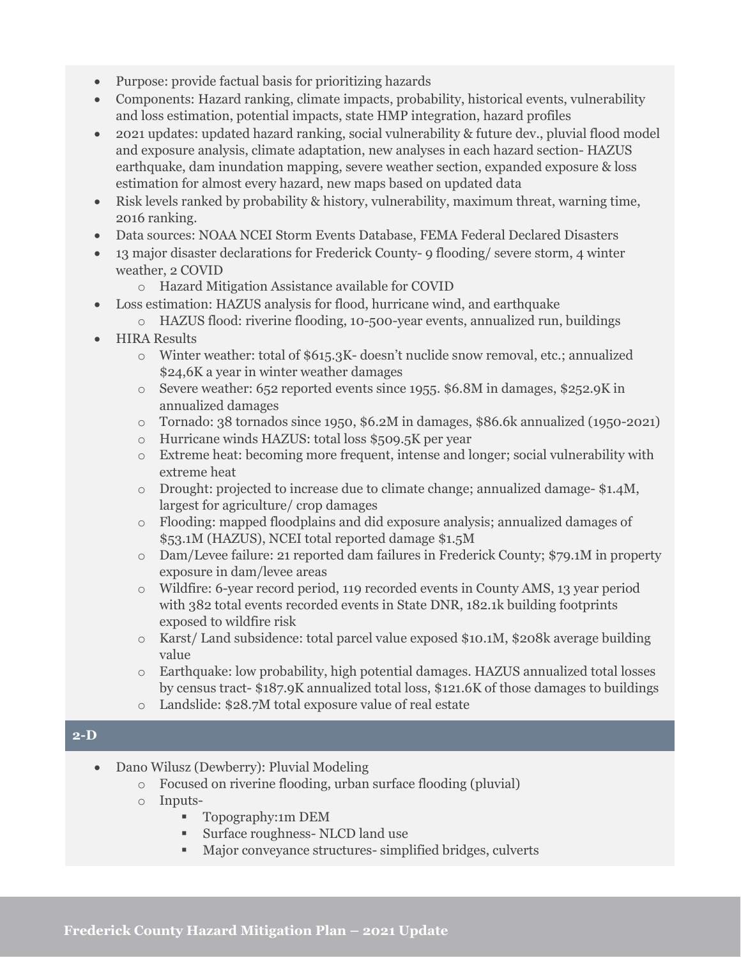- Purpose: provide factual basis for prioritizing hazards
- Components: Hazard ranking, climate impacts, probability, historical events, vulnerability and loss estimation, potential impacts, state HMP integration, hazard profiles
- 2021 updates: updated hazard ranking, social vulnerability & future dev., pluvial flood model and exposure analysis, climate adaptation, new analyses in each hazard section- HAZUS earthquake, dam inundation mapping, severe weather section, expanded exposure & loss estimation for almost every hazard, new maps based on updated data
- Risk levels ranked by probability & history, vulnerability, maximum threat, warning time, 2016 ranking.
- Data sources: NOAA NCEI Storm Events Database, FEMA Federal Declared Disasters
- 13 major disaster declarations for Frederick County- 9 flooding/ severe storm, 4 winter weather, 2 COVID
	- o Hazard Mitigation Assistance available for COVID
- Loss estimation: HAZUS analysis for flood, hurricane wind, and earthquake
	- o HAZUS flood: riverine flooding, 10-500-year events, annualized run, buildings
- HIRA Results
	- o Winter weather: total of \$615.3K- doesn't nuclide snow removal, etc.; annualized \$24,6K a year in winter weather damages
	- o Severe weather: 652 reported events since 1955. \$6.8M in damages, \$252.9K in annualized damages
	- o Tornado: 38 tornados since 1950, \$6.2M in damages, \$86.6k annualized (1950-2021)
	- o Hurricane winds HAZUS: total loss \$509.5K per year
	- o Extreme heat: becoming more frequent, intense and longer; social vulnerability with extreme heat
	- o Drought: projected to increase due to climate change; annualized damage- \$1.4M, largest for agriculture/ crop damages
	- o Flooding: mapped floodplains and did exposure analysis; annualized damages of \$53.1M (HAZUS), NCEI total reported damage \$1.5M
	- o Dam/Levee failure: 21 reported dam failures in Frederick County; \$79.1M in property exposure in dam/levee areas
	- o Wildfire: 6-year record period, 119 recorded events in County AMS, 13 year period with 382 total events recorded events in State DNR, 182.1k building footprints exposed to wildfire risk
	- o Karst/ Land subsidence: total parcel value exposed \$10.1M, \$208k average building value
	- o Earthquake: low probability, high potential damages. HAZUS annualized total losses by census tract- \$187.9K annualized total loss, \$121.6K of those damages to buildings
	- o Landslide: \$28.7M total exposure value of real estate

#### **2-D**

- Dano Wilusz (Dewberry): Pluvial Modeling
	- o Focused on riverine flooding, urban surface flooding (pluvial)
	- o Inputs-
		- **Topography:1m DEM**
		- Surface roughness- NLCD land use
		- Major conveyance structures- simplified bridges, culverts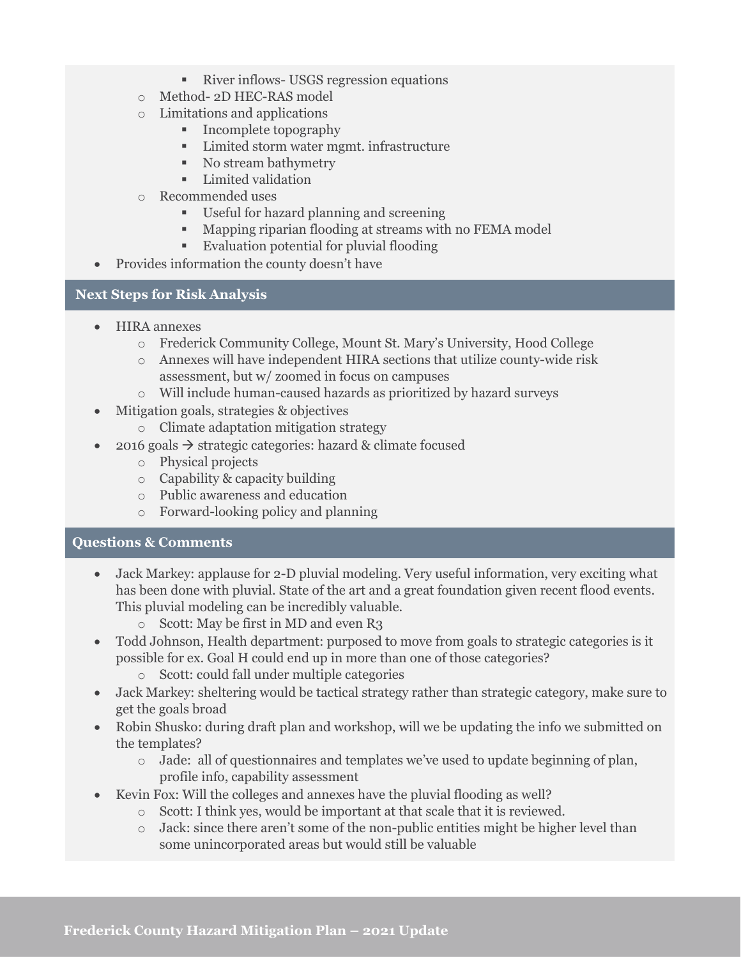- River inflows- USGS regression equations
- o Method- 2D HEC-RAS model
- o Limitations and applications
	- Incomplete topography
	- Limited storm water mgmt. infrastructure
	- No stream bathymetry
	- **Limited validation**
- o Recommended uses
	- Useful for hazard planning and screening
	- Mapping riparian flooding at streams with no FEMA model
	- Evaluation potential for pluvial flooding
- Provides information the county doesn't have

#### **Next Steps for Risk Analysis**

- HIRA annexes
	- o Frederick Community College, Mount St. Mary's University, Hood College
	- o Annexes will have independent HIRA sections that utilize county-wide risk assessment, but w/ zoomed in focus on campuses
	- o Will include human-caused hazards as prioritized by hazard surveys
- Mitigation goals, strategies & objectives
	- o Climate adaptation mitigation strategy
- 2016 goals  $\rightarrow$  strategic categories: hazard & climate focused
	- o Physical projects
	- o Capability & capacity building
	- o Public awareness and education
	- o Forward-looking policy and planning

#### **Questions & Comments**

- Jack Markey: applause for 2-D pluvial modeling. Very useful information, very exciting what has been done with pluvial. State of the art and a great foundation given recent flood events. This pluvial modeling can be incredibly valuable.
	- o Scott: May be first in MD and even R3
- Todd Johnson, Health department: purposed to move from goals to strategic categories is it possible for ex. Goal H could end up in more than one of those categories?
	- o Scott: could fall under multiple categories
- Jack Markey: sheltering would be tactical strategy rather than strategic category, make sure to get the goals broad
- Robin Shusko: during draft plan and workshop, will we be updating the info we submitted on the templates?
	- o Jade: all of questionnaires and templates we've used to update beginning of plan, profile info, capability assessment
- Kevin Fox: Will the colleges and annexes have the pluvial flooding as well?
	- o Scott: I think yes, would be important at that scale that it is reviewed.
		- $\circ$  Jack: since there aren't some of the non-public entities might be higher level than some unincorporated areas but would still be valuable